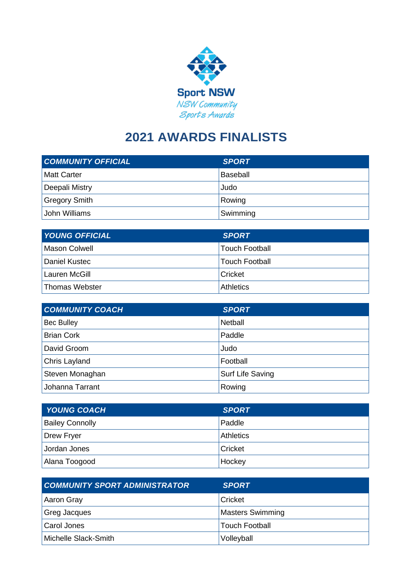

## **2021 AWARDS FINALISTS**

| <b>COMMUNITY OFFICIAL</b> | <b>SPORT</b>    |
|---------------------------|-----------------|
| <b>Matt Carter</b>        | <b>Baseball</b> |
| Deepali Mistry            | Judo            |
| <b>Gregory Smith</b>      | Rowing          |
| John Williams             | Swimming        |

| <b>YOUNG OFFICIAL</b> | <b>SPORT</b>          |
|-----------------------|-----------------------|
| <b>Mason Colwell</b>  | <b>Touch Football</b> |
| Daniel Kustec         | <b>Touch Football</b> |
| Lauren McGill         | Cricket               |
| Thomas Webster        | <b>Athletics</b>      |

| <b>COMMUNITY COACH</b> | <b>SPORT</b>     |
|------------------------|------------------|
| <b>Bec Bulley</b>      | <b>Netball</b>   |
| <b>Brian Cork</b>      | Paddle           |
| David Groom            | Judo             |
| Chris Layland          | Football         |
| Steven Monaghan        | Surf Life Saving |
| Johanna Tarrant        | Rowing           |

| <b>YOUNG COACH</b>     | <b>SPORT</b>     |
|------------------------|------------------|
| <b>Bailey Connolly</b> | Paddle           |
| Drew Fryer             | <b>Athletics</b> |
| Jordan Jones           | Cricket          |
| Alana Toogood          | Hockey           |

| <b>COMMUNITY SPORT ADMINISTRATOR</b> | <b>SPORT</b>            |
|--------------------------------------|-------------------------|
| Aaron Gray                           | Cricket                 |
| <b>Greg Jacques</b>                  | <b>Masters Swimming</b> |
| Carol Jones                          | <b>Touch Football</b>   |
| Michelle Slack-Smith                 | Volleyball              |